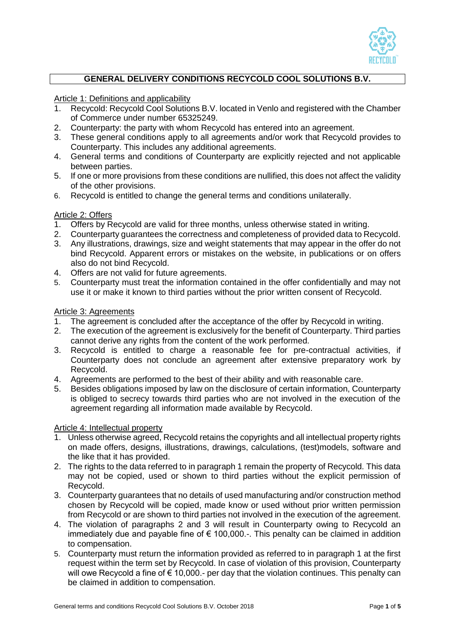

# **GENERAL DELIVERY CONDITIONS RECYCOLD COOL SOLUTIONS B.V.**

Article 1: Definitions and applicability

- 1. Recycold: Recycold Cool Solutions B.V. located in Venlo and registered with the Chamber of Commerce under number 65325249.
- 2. Counterparty: the party with whom Recycold has entered into an agreement.
- 3. These general conditions apply to all agreements and/or work that Recycold provides to Counterparty. This includes any additional agreements.
- 4. General terms and conditions of Counterparty are explicitly rejected and not applicable between parties.
- 5. If one or more provisions from these conditions are nullified, this does not affect the validity of the other provisions.
- 6. Recycold is entitled to change the general terms and conditions unilaterally.

## Article 2: Offers

- 1. Offers by Recycold are valid for three months, unless otherwise stated in writing.
- 2. Counterparty guarantees the correctness and completeness of provided data to Recycold.
- 3. Any illustrations, drawings, size and weight statements that may appear in the offer do not bind Recycold. Apparent errors or mistakes on the website, in publications or on offers also do not bind Recycold.
- 4. Offers are not valid for future agreements.
- 5. Counterparty must treat the information contained in the offer confidentially and may not use it or make it known to third parties without the prior written consent of Recycold.

## Article 3: Agreements

- 1. The agreement is concluded after the acceptance of the offer by Recycold in writing.
- 2. The execution of the agreement is exclusively for the benefit of Counterparty. Third parties cannot derive any rights from the content of the work performed.
- 3. Recycold is entitled to charge a reasonable fee for pre-contractual activities, if Counterparty does not conclude an agreement after extensive preparatory work by Recycold.
- 4. Agreements are performed to the best of their ability and with reasonable care.
- 5. Besides obligations imposed by law on the disclosure of certain information, Counterparty is obliged to secrecy towards third parties who are not involved in the execution of the agreement regarding all information made available by Recycold.

#### Article 4: Intellectual property

- 1. Unless otherwise agreed, Recycold retains the copyrights and all intellectual property rights on made offers, designs, illustrations, drawings, calculations, (test)models, software and the like that it has provided.
- 2. The rights to the data referred to in paragraph 1 remain the property of Recycold. This data may not be copied, used or shown to third parties without the explicit permission of Recycold.
- 3. Counterparty guarantees that no details of used manufacturing and/or construction method chosen by Recycold will be copied, made know or used without prior written permission from Recycold or are shown to third parties not involved in the execution of the agreement.
- 4. The violation of paragraphs 2 and 3 will result in Counterparty owing to Recycold an immediately due and payable fine of  $\epsilon$  100,000.-. This penalty can be claimed in addition to compensation.
- 5. Counterparty must return the information provided as referred to in paragraph 1 at the first request within the term set by Recycold. In case of violation of this provision, Counterparty will owe Recycold a fine of € 10,000.- per day that the violation continues. This penalty can be claimed in addition to compensation.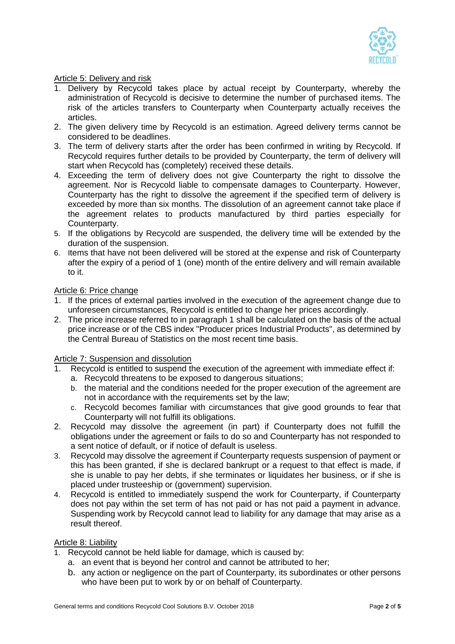

### Article 5: Delivery and risk

- 1. Delivery by Recycold takes place by actual receipt by Counterparty, whereby the administration of Recycold is decisive to determine the number of purchased items. The risk of the articles transfers to Counterparty when Counterparty actually receives the articles.
- 2. The given delivery time by Recycold is an estimation. Agreed delivery terms cannot be considered to be deadlines.
- 3. The term of delivery starts after the order has been confirmed in writing by Recycold. If Recycold requires further details to be provided by Counterparty, the term of delivery will start when Recycold has (completely) received these details.
- 4. Exceeding the term of delivery does not give Counterparty the right to dissolve the agreement. Nor is Recycold liable to compensate damages to Counterparty. However, Counterparty has the right to dissolve the agreement if the specified term of delivery is exceeded by more than six months. The dissolution of an agreement cannot take place if the agreement relates to products manufactured by third parties especially for Counterparty.
- 5. If the obligations by Recycold are suspended, the delivery time will be extended by the duration of the suspension.
- 6. Items that have not been delivered will be stored at the expense and risk of Counterparty after the expiry of a period of 1 (one) month of the entire delivery and will remain available to it.

#### Article 6: Price change

- 1. If the prices of external parties involved in the execution of the agreement change due to unforeseen circumstances, Recycold is entitled to change her prices accordingly.
- 2. The price increase referred to in paragraph 1 shall be calculated on the basis of the actual price increase or of the CBS index "Producer prices Industrial Products", as determined by the Central Bureau of Statistics on the most recent time basis.

#### Article 7: Suspension and dissolution

- 1. Recycold is entitled to suspend the execution of the agreement with immediate effect if:
	- a. Recycold threatens to be exposed to dangerous situations;
	- b. the material and the conditions needed for the proper execution of the agreement are not in accordance with the requirements set by the law;
	- c. Recycold becomes familiar with circumstances that give good grounds to fear that Counterparty will not fulfill its obligations.
- 2. Recycold may dissolve the agreement (in part) if Counterparty does not fulfill the obligations under the agreement or fails to do so and Counterparty has not responded to a sent notice of default, or if notice of default is useless.
- 3. Recycold may dissolve the agreement if Counterparty requests suspension of payment or this has been granted, if she is declared bankrupt or a request to that effect is made, if she is unable to pay her debts, if she terminates or liquidates her business, or if she is placed under trusteeship or (government) supervision.
- 4. Recycold is entitled to immediately suspend the work for Counterparty, if Counterparty does not pay within the set term of has not paid or has not paid a payment in advance. Suspending work by Recycold cannot lead to liability for any damage that may arise as a result thereof.

#### Article 8: Liability

- 1. Recycold cannot be held liable for damage, which is caused by:
	- a. an event that is beyond her control and cannot be attributed to her;
	- b. any action or negligence on the part of Counterparty, its subordinates or other persons who have been put to work by or on behalf of Counterparty.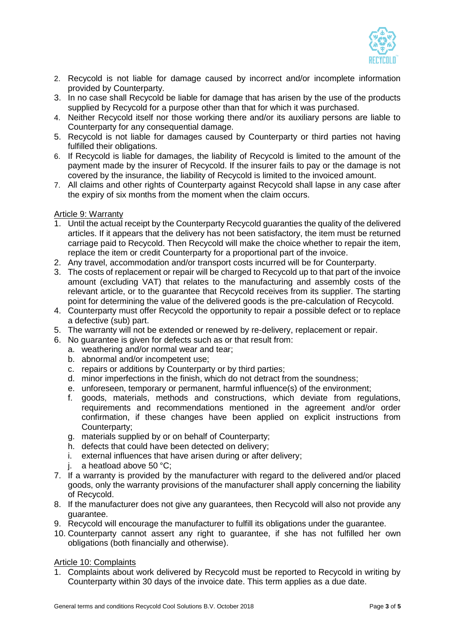

- 2. Recycold is not liable for damage caused by incorrect and/or incomplete information provided by Counterparty.
- 3. In no case shall Recycold be liable for damage that has arisen by the use of the products supplied by Recycold for a purpose other than that for which it was purchased.
- 4. Neither Recycold itself nor those working there and/or its auxiliary persons are liable to Counterparty for any consequential damage.
- 5. Recycold is not liable for damages caused by Counterparty or third parties not having fulfilled their obligations.
- 6. If Recycold is liable for damages, the liability of Recycold is limited to the amount of the payment made by the insurer of Recycold. If the insurer fails to pay or the damage is not covered by the insurance, the liability of Recycold is limited to the invoiced amount.
- 7. All claims and other rights of Counterparty against Recycold shall lapse in any case after the expiry of six months from the moment when the claim occurs.

## Article 9: Warranty

- 1. Until the actual receipt by the Counterparty Recycold guaranties the quality of the delivered articles. If it appears that the delivery has not been satisfactory, the item must be returned carriage paid to Recycold. Then Recycold will make the choice whether to repair the item, replace the item or credit Counterparty for a proportional part of the invoice.
- 2. Any travel, accommodation and/or transport costs incurred will be for Counterparty.
- 3. The costs of replacement or repair will be charged to Recycold up to that part of the invoice amount (excluding VAT) that relates to the manufacturing and assembly costs of the relevant article, or to the guarantee that Recycold receives from its supplier. The starting point for determining the value of the delivered goods is the pre-calculation of Recycold.
- 4. Counterparty must offer Recycold the opportunity to repair a possible defect or to replace a defective (sub) part.
- 5. The warranty will not be extended or renewed by re-delivery, replacement or repair.
- 6. No guarantee is given for defects such as or that result from:
	- a. weathering and/or normal wear and tear;
	- b. abnormal and/or incompetent use;
	- c. repairs or additions by Counterparty or by third parties;
	- d. minor imperfections in the finish, which do not detract from the soundness;
	- e. unforeseen, temporary or permanent, harmful influence(s) of the environment;
	- f. goods, materials, methods and constructions, which deviate from regulations, requirements and recommendations mentioned in the agreement and/or order confirmation, if these changes have been applied on explicit instructions from Counterparty;
	- g. materials supplied by or on behalf of Counterparty;
	- h. defects that could have been detected on delivery;
	- i. external influences that have arisen during or after delivery;
	- j. a heatload above 50 °C;
- 7. If a warranty is provided by the manufacturer with regard to the delivered and/or placed goods, only the warranty provisions of the manufacturer shall apply concerning the liability of Recycold.
- 8. If the manufacturer does not give any guarantees, then Recycold will also not provide any guarantee.
- 9. Recycold will encourage the manufacturer to fulfill its obligations under the guarantee.
- 10. Counterparty cannot assert any right to guarantee, if she has not fulfilled her own obligations (both financially and otherwise).

## Article 10: Complaints

1. Complaints about work delivered by Recycold must be reported to Recycold in writing by Counterparty within 30 days of the invoice date. This term applies as a due date.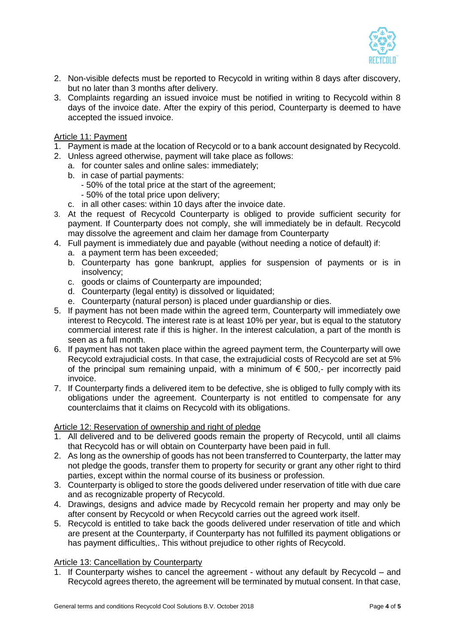

- 2. Non-visible defects must be reported to Recycold in writing within 8 days after discovery, but no later than 3 months after delivery.
- 3. Complaints regarding an issued invoice must be notified in writing to Recycold within 8 days of the invoice date. After the expiry of this period, Counterparty is deemed to have accepted the issued invoice.

### Article 11: Payment

- 1. Payment is made at the location of Recycold or to a bank account designated by Recycold.
- 2. Unless agreed otherwise, payment will take place as follows:
	- a. for counter sales and online sales: immediately;
	- b. in case of partial payments:
		- 50% of the total price at the start of the agreement;
		- 50% of the total price upon delivery;
	- c. in all other cases: within 10 days after the invoice date.
- 3. At the request of Recycold Counterparty is obliged to provide sufficient security for payment. If Counterparty does not comply, she will immediately be in default. Recycold may dissolve the agreement and claim her damage from Counterparty
- 4. Full payment is immediately due and payable (without needing a notice of default) if:
	- a. a payment term has been exceeded;
	- b. Counterparty has gone bankrupt, applies for suspension of payments or is in insolvency;
	- c. goods or claims of Counterparty are impounded;
	- d. Counterparty (legal entity) is dissolved or liquidated;
	- e. Counterparty (natural person) is placed under guardianship or dies.
- 5. If payment has not been made within the agreed term, Counterparty will immediately owe interest to Recycold. The interest rate is at least 10% per year, but is equal to the statutory commercial interest rate if this is higher. In the interest calculation, a part of the month is seen as a full month.
- 6. If payment has not taken place within the agreed payment term, the Counterparty will owe Recycold extrajudicial costs. In that case, the extrajudicial costs of Recycold are set at 5% of the principal sum remaining unpaid, with a minimum of  $\epsilon$  500,- per incorrectly paid invoice.
- 7. If Counterparty finds a delivered item to be defective, she is obliged to fully comply with its obligations under the agreement. Counterparty is not entitled to compensate for any counterclaims that it claims on Recycold with its obligations.

#### Article 12: Reservation of ownership and right of pledge

- 1. All delivered and to be delivered goods remain the property of Recycold, until all claims that Recycold has or will obtain on Counterparty have been paid in full.
- 2. As long as the ownership of goods has not been transferred to Counterparty, the latter may not pledge the goods, transfer them to property for security or grant any other right to third parties, except within the normal course of its business or profession.
- 3. Counterparty is obliged to store the goods delivered under reservation of title with due care and as recognizable property of Recycold.
- 4. Drawings, designs and advice made by Recycold remain her property and may only be after consent by Recycold or when Recycold carries out the agreed work itself.
- 5. Recycold is entitled to take back the goods delivered under reservation of title and which are present at the Counterparty, if Counterparty has not fulfilled its payment obligations or has payment difficulties,. This without prejudice to other rights of Recycold.

## Article 13: Cancellation by Counterparty

1. If Counterparty wishes to cancel the agreement - without any default by Recycold – and Recycold agrees thereto, the agreement will be terminated by mutual consent. In that case,